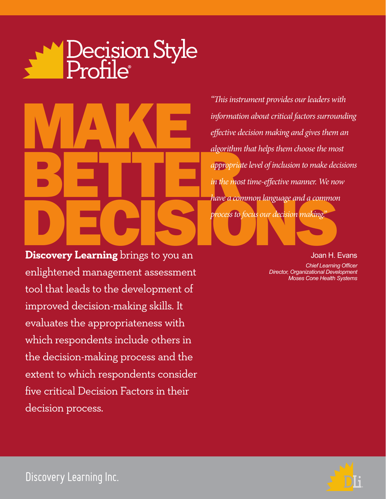# Decision Style<br>Profile



**Discovery Learning** brings to you an enlightened management assessment tool that leads to the development of improved decision-making skills. It evaluates the appropriateness with which respondents include others in the decision-making process and the extent to which respondents consider five critical Decision Factors in their decision process.

*"This instrument provides our leaders with information about critical factors surrounding effective decision making and gives them an algorithm that helps them choose the most appropriate level of inclusion to make decisions in the most time-effective manner. We now have a common language and a common process to focus our decision making."*

Joan H. Evans

*Chief Learning Officer Director, Organizational Development Moses Cone Health Systems*



Discovery Learning Inc.